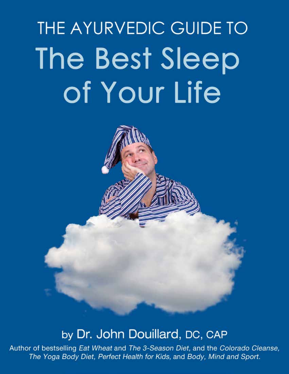# THE AYURVEDIC GUIDE TO The Best Sleep of Your Life

### by Dr. John Douillard, DC, CAP

Author of bestselling Eat Wheat and The 3-Season Diet, and the Colorado Cleanse, The Yoga Body Diet, Perfect Health for Kids, and Body, Mind and Sport.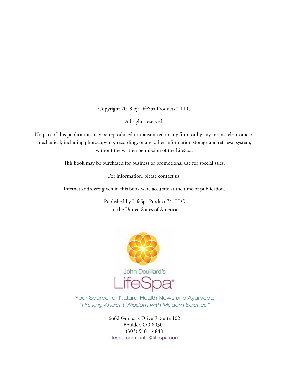Copyright 2018 by LifeSpa Products™, LLC

All rights reserved.

No part of this publication may be reproduced or transmitted in any form or by any means, electronic or mechanical, including photocopying, recording, or any other information storage and retrieval system, without the written permission of the LifeSpa.

This book may be purchased for business or promotional use for special sales.

For information, please contact us.

Internet addresses given in this book were accurate at the time of publication.

Published by LifeSpa Products<sup>™</sup>, LLC in the United States of America



Your Source for Natural Health News and Ayurveda "Proving Ancient Wisdom with Modern Science"

> 6662 Gunpark Drive E, Suite 102 Boulder, CO 80301  $(303)$  516 – 4848 [lifespa.com](http://lifespa.com/) | [info@lifespa.com](mailto:info%40lifespa.com?subject=)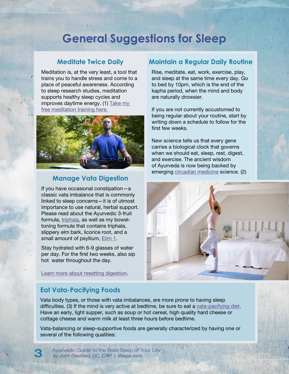### **General Suggestions for Sleep**

#### **Meditate Twice Daily**

Meditation is, at the very least, a tool that trains you to handle stress and come to a place of peaceful awareness. According to sleep research studies, meditation supports healthy sleep cycles and improves daytime energy. (1) [Take my](https://lifespa.com/free-meditation-training-viewing/)  [free meditation training here.](https://lifespa.com/free-meditation-training-viewing/)



#### **Manage Vata Digestion**

If you have occasional constipation—a classic vata imbalance that is commonly linked to sleep concerns—it is of utmost importance to use natural, herbal support. Please read about the Ayurvedic 3-fruit formula, [triphala](https://lifespa.com/ayurvedic-supplement-facts/triphala/), as well as my boweltoning formula that contains triphala, slippery elm bark, licorice root, and a small amount of psyllium, [Elim 1.](https://lifespa.com/healthy-alternatives-to-laxatives/)

Stay hydrated with 6-9 glasses of water per day. For the first two weeks, also sip hot water throughout the day.

[Learn more about resetting digestion](https://lifespa.com/perfecting-digestion-with-herbs/).

#### **Maintain a Regular Daily Routine**

Rise, meditate, eat, work, exercise, play, and sleep at the same time every day. Go to bed by 10pm, which is the end of the kapha period, when the mind and body are naturally drowsier.

If you are not currently accustomed to being regular about your routine, start by writing down a schedule to follow for the first few weeks.

New science tells us that every gene carries a biological clock that governs when we should eat, sleep, rest, digest, and exercise. The ancient wisdom of Ayurveda is now being backed by emerging [circadian medicine](https://lifespa.com/category/circadian-medicine/) science. (2)



#### **Eat Vata-Pacifying Foods**

Vata body types, or those with vata imbalances, are more prone to having sleep difficulties. (3) If the mind is very active at bedtime, be sure to eat a [vata-pacifying diet.](https://lifespa.com/winter-grocery-list-vata-balancing-diet/) Have an early, light supper, such as soup or hot cereal, high quality hard cheese or cottage cheese and warm milk at least three hours before bedtime.

Vata-balancing or sleep-supportive foods are generally characterized by having one or several of the following qualities:

Ayurvedic Guide to the Best Sleep of Your Life 3 *by John Douillard, DC, CAP* | lifespa.com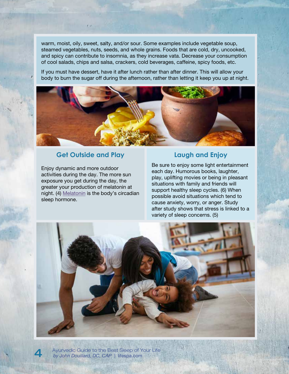warm, moist, oily, sweet, salty, and/or sour. Some examples include vegetable soup, steamed vegetables, nuts, seeds, and whole grains. Foods that are cold, dry, uncooked, and spicy can contribute to insomnia, as they increase vata. Decrease your consumption of cool salads, chips and salsa, crackers, cold beverages, caffeine, spicy foods, etc.

If you must have dessert, have it after lunch rather than after dinner. This will allow your body to burn the sugar off during the afternoon, rather than letting it keep you up at night.



### **Get Outside and Play**

Enjoy dynamic and more outdoor activities during the day. The more sun exposure you get during the day, the greater your production of melatonin at night. (4) [Melatonin](https://lifespa.com/ayurvedic-supplement-facts/melatonin/) is the body's circadian sleep hormone.

#### **Laugh and Enjoy**

Be sure to enjoy some light entertainment each day. Humorous books, laughter, play, uplifting movies or being in pleasant situations with family and friends will support healthy sleep cycles. (6) When possible avoid situations which tend to cause anxiety, worry, or anger. Study after study shows that stress is linked to a variety of sleep concerns. (5)



Ayurvedic Guide to the Best Sleep of Your Life 4 *by John Douillard, DC, CAP* | lifespa.com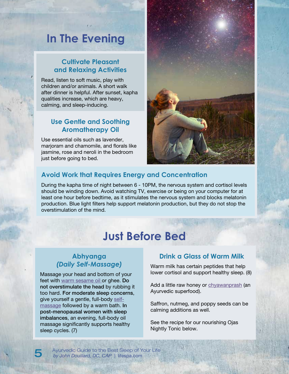### **In The Evening**

### **Cultivate Pleasant and Relaxing Activities**

Read, listen to soft music, play with children and/or animals. A short walk after dinner is helpful. After sunset, kapha qualities increase, which are heavy, calming, and sleep-inducing.

#### **Use Gentle and Soothing Aromatherapy Oil**

Use essential oils such as lavender, marjoram and chamomile, and florals like jasmine, rose and neroli in the bedroom just before going to bed.



#### **Avoid Work that Requires Energy and Concentration**

During the kapha time of night between 6 - 10PM, the nervous system and cortisol levels should be winding down. Avoid watching TV, exercise or being on your computer for at least one hour before bedtime, as it stimulates the nervous system and blocks melatonin production. Blue light filters help support melatonin production, but they do not stop the overstimulation of the mind.

## **Just Before Bed**

#### **Abhyanga**  *(Daily Self-Massage)*

Massage your head and bottom of your feet with [warm sesame oil](https://store.lifespa.com/product/tri-doshic-massage-oil-4oz/) or [ghee](https://lifespa.com/ayurvedic-supplement-facts/ghee/). Do not overstimulate the head by rubbing it too hard. For moderate sleep concerns, give yourself a gentle, full-body [self](https://lifespa.com/ayurvedic-daily-home-oil-massage-abhyanga/)[massage](https://lifespa.com/ayurvedic-daily-home-oil-massage-abhyanga/) followed by a warm bath. In post-menopausal women with sleep imbalances, an evening, full-body oil massage significantly supports healthy sleep cycles. (7)

#### **Drink a Glass of Warm Milk**

Warm milk has certain peptides that help lower cortisol and support healthy sleep. (8)

Add a little raw honey or [chyawanprash](https://lifespa.com/ayurvedic-supplement-facts/chyawanprash/) (an Ayurvedic superfood).

Saffron, nutmeg, and poppy seeds can be calming additions as well.

See the recipe for our nourishing Ojas Nightly Tonic below.

Ayurvedic Guide to the Best Sleep of Your Life 5 *by John Douillard, DC, CAP* | lifespa.com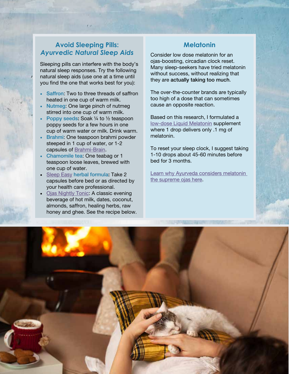#### **Avoid Sleeping Pills:**  *Ayurvedic Natural Sleep Aids*

Sleeping pills can interfere with the body's natural sleep responses. Try the following natural sleep aids (use one at a time until you find the one that works best for you):

- Saffron: Two to three threads of saffron heated in one cup of warm milk.
- Nutmeg: One large pinch of nutmeg stirred into one cup of warm milk.
- Poppy seeds: Soak 1/4 to 1/2 teaspoon poppy seeds for a few hours in one cup of warm water or milk. Drink warm.
- Brahmi: One teaspoon brahmi powder steeped in 1 cup of water, or 1-2 capsules of [Brahmi-Brain.](https://lifespa.com/ayurvedic-supplement-facts/brahmi/)
- Chamomile tea: One teabag or 1 teaspoon loose leaves, brewed with one cup of water.
- [Sleep Easy](https://lifespa.com/rejuvenate-dont-sedate-herbs-sleep/) herbal formula: Take 2 capsules before bed or as directed by your health care professional.
- [Ojas Nightly Tonic](https://lifespa.com/got-ojas-nourish-your-vitality/): A classic evening beverage of hot milk, dates, coconut, almonds, saffron, healing herbs, raw honey and ghee. See the recipe below.

#### **Melatonin**

Consider low dose melatonin for an ojas-boosting, circadian clock reset. Many sleep-seekers have tried melatonin without success, without realizing that they are actually taking too much.

The over-the-counter brands are typically too high of a dose that can sometimes cause an opposite reaction.

Based on this research, I formulated a [low-dose Liquid Melatonin](https://lifespa.com/ayurvedic-supplement-facts/melatonin/) supplement where 1 drop delivers only .1 mg of melatonin.

To reset your sleep clock, I suggest taking 1-10 drops about 45-60 minutes before bed for 3 months.

Learn why Ayurveda considers melatonin [the supreme ojas here](https://lifespa.com/tag/melatonin/).

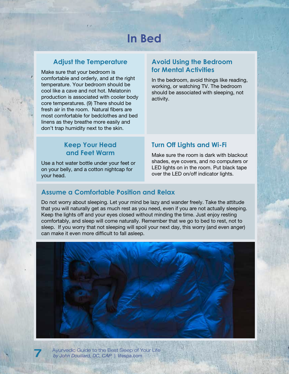# **In Bed**

#### **Adjust the Temperature**

Make sure that your bedroom is comfortable and orderly, and at the right temperature. Your bedroom should be cool like a cave and not hot. Melatonin production is associated with cooler body core temperatures. (9) There should be fresh air in the room. Natural fibers are most comfortable for bedclothes and bed linens as they breathe more easily and don't trap humidity next to the skin.

#### **Avoid Using the Bedroom for Mental Activities**

In the bedroom, avoid things like reading, working, or watching TV. The bedroom should be associated with sleeping, not activity.

#### **Keep Your Head and Feet Warm**

Use a hot water bottle under your feet or on your belly, and a cotton nightcap for your head.

#### **Turn Off Lights and Wi-Fi**

Make sure the room is dark with blackout shades, eye covers, and no computers or LED lights on in the room. Put black tape over the LED on/off indicator lights.

#### **Assume a Comfortable Position and Relax**

Do not worry about sleeping. Let your mind be lazy and wander freely. Take the attitude that you will naturally get as much rest as you need, even if you are not actually sleeping. Keep the lights off and your eyes closed without minding the time. Just enjoy resting comfortably, and sleep will come naturally. Remember that we go to bed to rest, not to sleep. If you worry that not sleeping will spoil your next day, this worry (and even anger) can make it even more difficult to fall asleep.



Ayurvedic Guide to the Best Sleep of Your Life 7 *by John Douillard, DC, CAP* | lifespa.com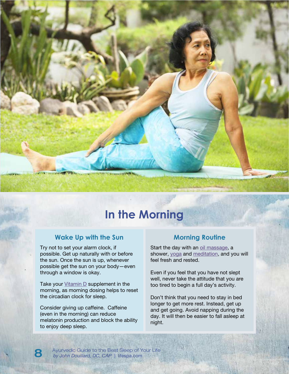## **In the Morning**

**CONTRACTOR** 

#### **Wake Up with the Sun**

Try not to set your alarm clock, if possible. Get up naturally with or before the sun. Once the sun is up, whenever possible get the sun on your body—even through a window is okay.

Take your  $V$ itamin D</u> supplement in the morning, as morning dosing helps to reset the circadian clock for sleep.

Consider giving up caffeine. Caffeine (even in the morning) can reduce melatonin production and block the ability to enjoy deep sleep.

#### **Morning Routine**

Start the day with an [oil massage](https://lifespa.com/ayurvedic-daily-home-oil-massage-abhyanga/), a shower, [yoga](https://lifespa.com/the-little-known-benefits-of-the-sun-salutation/) and [meditation,](https://lifespa.com/one-minute-meditation/) and you will feel fresh and rested.

Even if you feel that you have not slept well, never take the attitude that you are too tired to begin a full day's activity.

Don't think that you need to stay in bed longer to get more rest. Instead, get up and get going. Avoid napping during the day. It will then be easier to fall asleep at night.

Ayurvedic Guide to the Best Sleep of Your Life<br>by John Douillard, DC, CAP | lifespa.com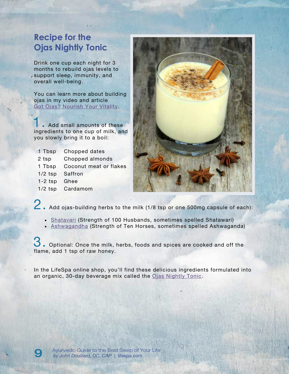### **Recipe for the Ojas Nightly Tonic**

Drink one cup each night for 3 months to rebuild ojas levels to support sleep, immunity, and overall well-being.

You can learn more about building ojas in my video and article [Got Ojas? Nourish Your Vitality.](https://lifespa.com/got-ojas-nourish-your-vitality/)

**Add small amounts of these** ingredients to one cup of milk, and you slowly bring it to a boil:

| 1 Tbsp    | Chopped dates          |
|-----------|------------------------|
| 2 tsp     | Chopped almonds        |
| 1 Tbsp    | Coconut meat or flakes |
| $1/2$ tsp | Saffron                |
| $1-2$ tsp | Ghee                   |
|           | 1/2 tsp Cardamom       |
|           |                        |



2. Add ojas-building herbs to the milk (1/8 tsp or one 500mg capsule of each):

- [Shatavari](https://lifespa.com/ayurvedic-supplement-facts/shatavari/) (Strength of 100 Husbands, sometimes spelled Shatawari)
- [Ashwagandha](https://lifespa.com/ayurvedic-supplement-facts/ashwagandha/) (Strength of Ten Horses, sometimes spelled Ashwaganda)

 $\bullet$  . Optional: Once the milk, herbs, foods and spices are cooked and off the flame, add 1 tsp of raw honey.

In the LifeSpa online shop, you'll find these delicious ingredients formulated into an organic, 30-day beverage mix called the [Ojas Nightly Tonic](https://lifespa.com/ayurvedic-supplement-facts/ojas/).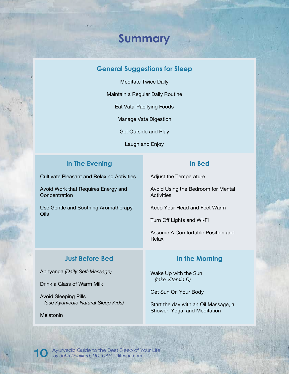### **Summary**

#### **General Suggestions for Sleep**

Meditate Twice Daily

Maintain a Regular Daily Routine

Eat Vata-Pacifying Foods

Manage Vata Digestion

Get Outside and Play

Laugh and Enjoy

#### **In The Evening**

Cultivate Pleasant and Relaxing Activities

Avoid Work that Requires Energy and **Concentration** 

Use Gentle and Soothing Aromatherapy Oils

#### **In Bed**

Adjust the Temperature

Avoid Using the Bedroom for Mental **Activities** 

Keep Your Head and Feet Warm

Turn Off Lights and Wi-Fi

Assume A Comfortable Position and Relax

#### **Just Before Bed**

Abhyanga *(Daily Self-Massage)*

Drink a Glass of Warm Milk

Avoid Sleeping Pills *(use Ayurvedic Natural Sleep Aids)*

Melatonin

#### **In the Morning**

Wake Up with the Sun *(take Vitamin D)*

Get Sun On Your Body

Start the day with an Oil Massage, a Shower, Yoga, and Meditation

Ayurvedic Guide to the Best Sleep of Your Life 10 *by John Douillard, DC, CAP* | lifespa.com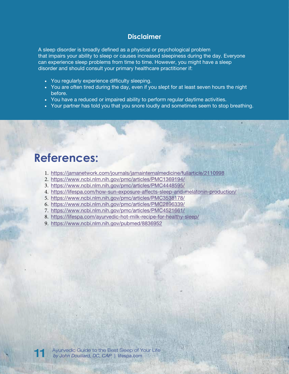#### **Disclaimer**

A sleep disorder is broadly defined as a physical or psychological problem that impairs your ability to sleep or causes increased sleepiness during the day. Everyone can experience sleep problems from time to time. However, you might have a sleep disorder and should consult your primary healthcare practitioner if:

- You regularly experience difficulty sleeping.
- You are often tired during the day, even if you slept for at least seven hours the night before.
- You have a reduced or impaired ability to perform regular daytime activities.
- Your partner has told you that you snore loudly and sometimes seem to stop breathing.

### **References:**

- 1. <https://jamanetwork.com/journals/jamainternalmedicine/fullarticle/2110998>
- 2. <https://www.ncbi.nlm.nih.gov/pmc/articles/PMC1369194/>
- 3. <https://www.ncbi.nlm.nih.gov/pmc/articles/PMC4448595/>
- 4. <https://lifespa.com/how-sun-exposure-affects-sleep-and-melatonin-production/>
- 5. <https://www.ncbi.nlm.nih.gov/pmc/articles/PMC3538178/>
- 6. <https://www.ncbi.nlm.nih.gov/pmc/articles/PMC2896339/>
- 7. <https://www.ncbi.nlm.nih.gov/pmc/articles/PMC4521661/>
- 8. <https://lifespa.com/ayurvedic-hot-milk-recipe-for-healthy-sleep/>
- 9. <https://www.ncbi.nlm.nih.gov/pubmed/8836952>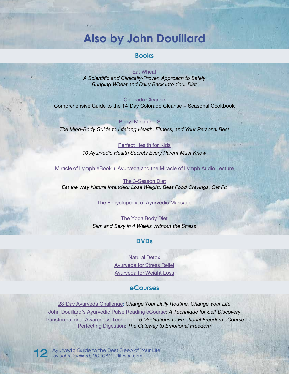### **Also by John Douillard**

#### **Books**

#### [Eat Wheat](https://store.lifespa.com/product/eat-wheat/)

*A Scientific and Clinically-Proven Approach to Safely Bringing Wheat and Dairy Back Into Your Diet* 

#### [Colorado Cleanse](https://lifespa.com/cleansing/colorado-cleanse/)

[Comprehensive Guide to the 14-Day Colorado Cleanse + Seasonal Cookbook](https://lifespa.com/cleansing/colorado-cleanse/) 

[Body, Mind and Sport](https://store.lifespa.com/product/body-mind-and-sport/) *The Mind-Body Guide to Lifelong Health, Fitness, and Your Personal Best* 

#### [Perfect Health for Kids](https://store.lifespa.com/product/perfect-health-for-kids/)

*10 Ayurvedic Health Secrets Every Parent Must Know* 

[Miracle of Lymph eBook + Ayurveda and the Miracle of Lymph Audio Lecture](https://store.lifespa.com/product/miracle-of-lymph-ebook-bundle/)

[The 3-Season Diet](https://store.lifespa.com/product/3-season-diet/)  *Eat the Way Nature Intended: Lose Weight, Beat Food Cravings, Get Fit* 

#### [The Encyclopedia of Ayurvedic Massage](https://store.lifespa.com/product/encyclopedia-of-ayurvedic-massage/)

[The Yoga Body Diet](https://store.lifespa.com/product/yoga-body-diet/)  *[Slim and Sexy in 4 Weeks Without the Stress](https://store.lifespa.com/product/yoga-body-diet/)* 

#### **DVDs**

[Natural Detox](https://store.lifespa.com/product/natural-detox-dvd/)  [Ayurveda for Stress Relief](https://store.lifespa.com/product/ayurveda-for-stress-relief-dvd/)  [Ayurveda for Weight Loss](https://store.lifespa.com/product/ayurveda-for-weight-loss-dvd/)

#### **eCourses**

28-Day Ayurveda Challenge: *[Change Your Daily Routine, Change Your Life](https://store.lifespa.com/product/ayurveda-challenge-ecourse-online/)*  [John Douillard's Ayurvedic Pulse Reading eCourse](https://store.lifespa.com/product/ayurvedic-pulse-reading-ecourse-online/)*: A Technique for Self-Discovery* Transformational Awareness Technique*[: 6 Meditations to Emotional Freedom eCourse](https://store.lifespa.com/product/transformational-awareness-technique-online/)* Perfecting Digestion*[: The Gateway to Emotional Freedom](https://store.lifespa.com/product/perfecting-digestion-gateway-to-emotional-freedom/)*

Ayurvedic Guide to the Best Sleep of Your Life 12 *by John Douillard, DC, CAP* | lifespa.com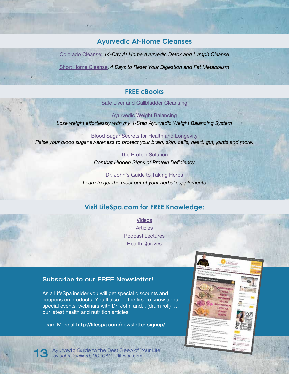#### **Ayurvedic At-Home Cleanses**

Colorado Cleanse: *[14-Day At Home Ayurvedic Detox and](http://lifespa.com/cleansing/colorado-cleanse/) Lymph Cleanse*

Short Home Cleanse: *[4 Days to Reset Your Digestion and Fat Metabolism](http://lifespa.com/cleansing/short-home-cleanse/)*

#### **FREE eBooks**

[Safe Liver and Gallbladder Cleansing](https://lifespa.com/self-help/ebooks/safe-liver-cleansing-ebook/)

[Ayurvedic Weight Balancing](http://lifespa.com/ayurvedic-weight-loss-ebook/) *[Lose weight effortlessly with my 4-Step Ayurvedic Weight Balancing System](http://lifespa.com/ayurvedic-weight-loss-ebook/)*

[Blood Sugar Secrets for Health and Longevity](http://lifespa.com/blood-sugar-secrets-health-longevity/) *[Raise your blood sugar awareness to protect your brain, skin, cells, heart, gut, joints and more.](http://lifespa.com/blood-sugar-secrets-health-longevity/)*

> [The Protein Solution](http://lifespa.com/self-help/ebooks/the-protein-solution-ebook/) *[Combat Hidden Signs of Protein Deficiency](http://lifespa.com/self-help/ebooks/the-protein-solution-ebook/)*

[Dr. John's Guide to Taking Herbs](http://lifespa.com/self-help/ebooks/dr-johns-guide-to-taking-herbs-ebook/) *[Learn to get the most out of your herbal supplements](http://lifespa.com/self-help/ebooks/dr-johns-guide-to-taking-herbs-ebook/)*

#### **[Visit LifeSpa.com for FREE Knowledge:](http://lifespa.com)**

[Videos](http://lifespa.com/articles-videos/videos-general-health/)  **[Articles](http://lifespa.com/articles-videos/)** [Podcast Lectures](http://lifespa.com/category/podcast-library/)  [Health Quizzes](http://lifespa.com/ayurvedic-health-quizzes/)

#### [Subscribe to our FREE Newsletter!](http://)

[As a LifeSpa insider you will get special discounts and](http://)  [coupons on products. You'll also be the first to know about](http://)  special events, webinars with Dr. John and... (drum roll) .... [our latest health and nutrition articles!](http://)

Learn More at [http://lifespa.com/newsletter-signup/](http://lifespa.com/newsletter-signup/ )



Ayurvedic Guide to the Best Sleep of Your Life 13 *by John Douillard, DC, CAP* | lifespa.com